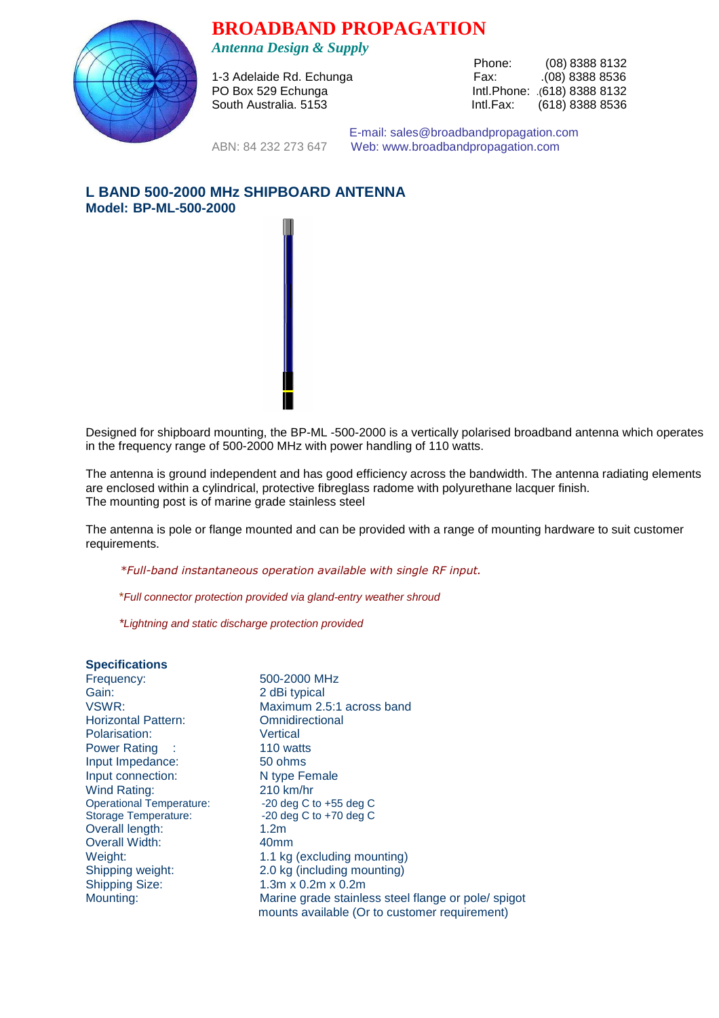**BROADBAND PROPAGATION** 



*Antenna Design & Supply* 

1-3 Adelaide Rd. Echunga<br>PO Box 529 Echunga

Phone: (08) 8388 8132<br>Fax: (08) 8388 8536 Intl.Phone: .(618) 8388 8132 South Australia. 5153 **Intl.Fax:** (618) 8388 8536

 E-mail: sales@broadbandpropagation.com ABN: 84 232 273 647 Web: www.broadbandpropagation.com

# **L BAND 500-2000 MHz SHIPBOARD ANTENNA Model: BP-ML-500-2000**



Designed for shipboard mounting, the BP-ML -500-2000 is a vertically polarised broadband antenna which operates in the frequency range of 500-2000 MHz with power handling of 110 watts.

The antenna is ground independent and has good efficiency across the bandwidth. The antenna radiating elements are enclosed within a cylindrical, protective fibreglass radome with polyurethane lacquer finish. The mounting post is of marine grade stainless steel

The antenna is pole or flange mounted and can be provided with a range of mounting hardware to suit customer requirements.

*\*Full-band instantaneous operation available with single RF input.* 

\*Full connector protection provided via gland-entry weather shroud

\*Lightning and static discharge protection provided

## **Specifications**

Frequency: 500-2000 MHz Gain: 2 dBi typical<br>1991 - VSWR: 2.9 Maximum 2.9 Horizontal Pattern: Polarisation: Vertical<br>
Power Rating : 110 watts Power Rating :<br>
Input Impedance: 50 ohms Input Impedance: Input connection: N type Female Wind Rating: 210 km/hr<br>Operational Temperature: 20 deg C to +55 deg C Operational Temperature: -20 deg C to +55 deg C<br>Storage Temperature: -20 deg C to +70 deg C Storage Temperature: Overall length: 1.2m Overall Width: 40mm Weight: 1.1 kg (excluding mounting)<br>Shipping weight: 2.0 kg (including mounting) Shipping weight: 2.0 kg (including mounting)<br>Shipping Size: 1.3m x 0.2m x 0.2m

Maximum 2.5:1 across band<br>Omnidirectional  $1.3m \times 0.2m \times 0.2m$ Mounting: Marine grade stainless steel flange or pole/ spigot mounts available (Or to customer requirement)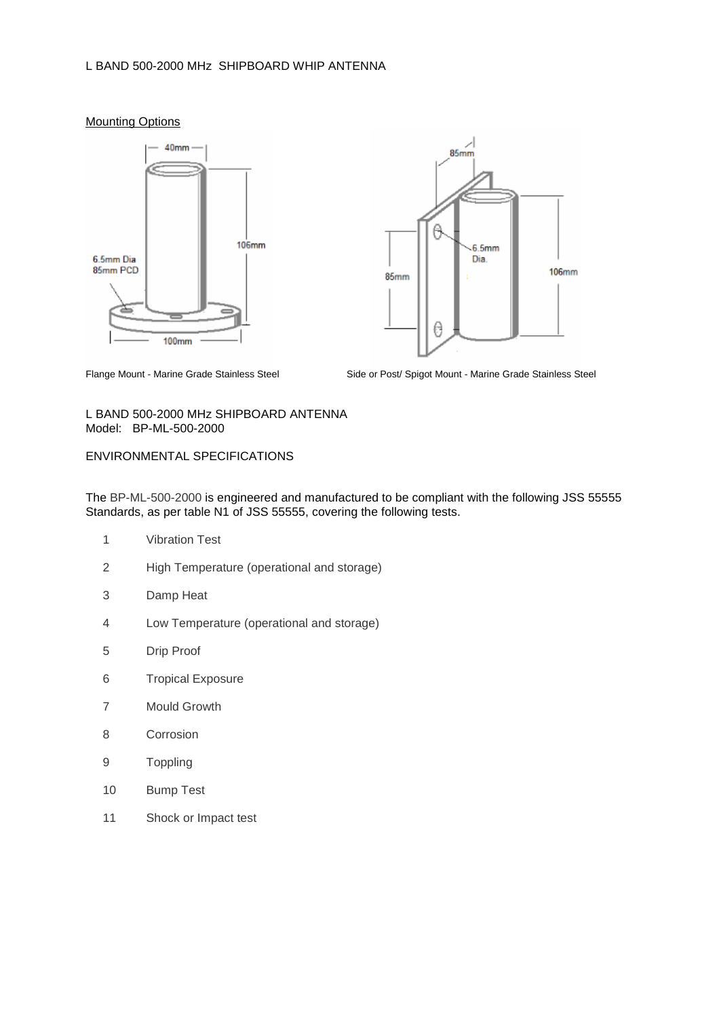## L BAND 500-2000 MHz SHIPBOARD WHIP ANTENNA







Flange Mount - Marine Grade Stainless Steel

Side or Post/ Spigot Mount - Marine Grade Stainless Steel

### L BAND 500-2000 MHz SHIPBOARD ANTENNA Model: BP-ML-500-2000

## ENVIRONMENTAL SPECIFICATIONS

The BP-ML-500-2000 is engineered and manufactured to be compliant with the following JSS 55555 Standards, as per table N1 of JSS 55555, covering the following tests.

- 1 Vibration Test
- 2 High Temperature (operational and storage)
- 3 Damp Heat
- 4 Low Temperature (operational and storage)
- 5 Drip Proof
- 6 Tropical Exposure
- 7 Mould Growth
- 8 Corrosion
- 9 Toppling
- 10 Bump Test
- 11 Shock or Impact test